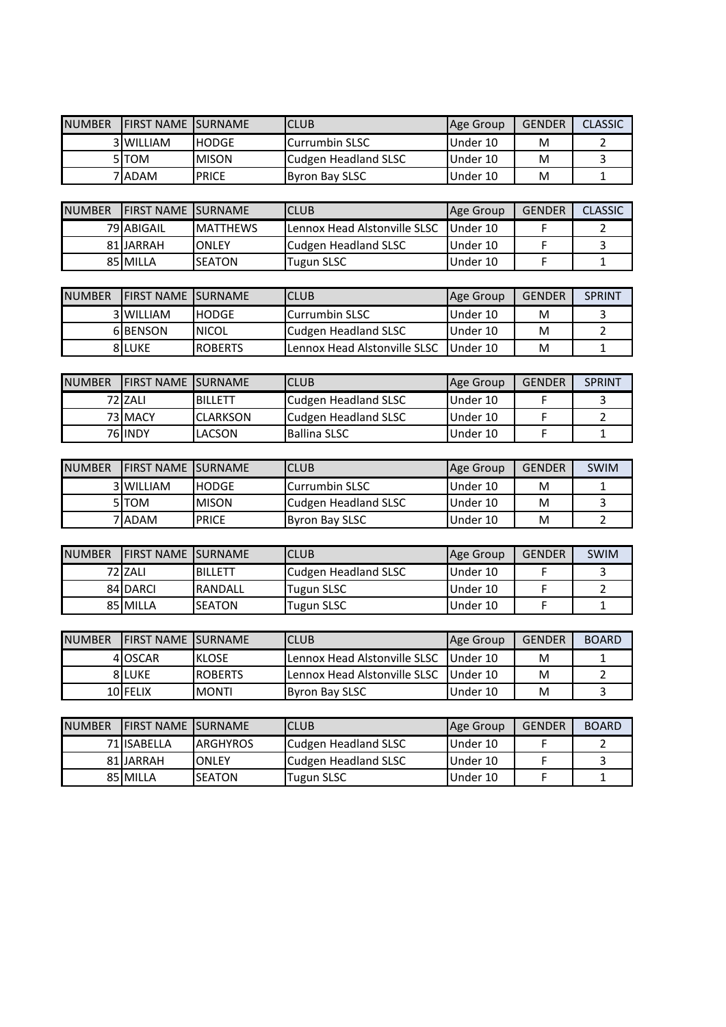| <b>NUMBER</b> | <b>FIRST NAME</b>         | <b>SURNAME</b>  | <b>CLUB</b>                           | Age Group | <b>GENDER</b> | <b>CLASSIC</b> |
|---------------|---------------------------|-----------------|---------------------------------------|-----------|---------------|----------------|
|               | 3 WILLIAM                 | <b>HODGE</b>    | Currumbin SLSC                        | Under 10  | м             | 2              |
|               | 5TOM                      | <b>MISON</b>    | <b>Cudgen Headland SLSC</b>           | Under 10  | M             | 3              |
|               | 7 ADAM                    | <b>PRICE</b>    | <b>Byron Bay SLSC</b>                 | Under 10  | M             | $\mathbf{1}$   |
|               |                           |                 |                                       |           |               |                |
| <b>NUMBER</b> | <b>FIRST NAME SURNAME</b> |                 | <b>CLUB</b>                           | Age Group | <b>GENDER</b> | <b>CLASSIC</b> |
|               | 79 ABIGAIL                | <b>MATTHEWS</b> | Lennox Head Alstonville SLSC          | Under 10  | F             | $\overline{2}$ |
|               | 81 JARRAH                 | ONLEY           | <b>Cudgen Headland SLSC</b>           | Under 10  | F             | 3              |
|               | 85 MILLA                  | <b>SEATON</b>   | <b>Tugun SLSC</b>                     | Under 10  | F             | $\mathbf{1}$   |
|               |                           |                 |                                       |           |               |                |
| <b>NUMBER</b> | FIRST NAME SURNAME        |                 | <b>CLUB</b>                           | Age Group | <b>GENDER</b> | <b>SPRINT</b>  |
|               | 3 WILLIAM                 | <b>HODGE</b>    | Currumbin SLSC                        | Under 10  | м             | 3              |
|               | 6BENSON                   | <b>NICOL</b>    | Cudgen Headland SLSC                  | Under 10  | M             | $\overline{2}$ |
|               | 8LUKE                     | <b>ROBERTS</b>  | Lennox Head Alstonville SLSC          | Under 10  | M             | $\mathbf{1}$   |
|               |                           |                 |                                       |           |               |                |
| <b>NUMBER</b> | <b>FIRST NAME SURNAME</b> |                 | <b>CLUB</b>                           | Age Group | <b>GENDER</b> | <b>SPRINT</b>  |
|               | 72 ZALI                   | <b>BILLETT</b>  | <b>Cudgen Headland SLSC</b>           | Under 10  | F             | 3              |
|               | 73 MACY                   | <b>CLARKSON</b> | Cudgen Headland SLSC                  | Under 10  | F             | $\overline{2}$ |
|               | <b>76 INDY</b>            | LACSON          | <b>Ballina SLSC</b>                   | Under 10  | F             | $\mathbf{1}$   |
|               |                           |                 |                                       |           |               |                |
| <b>NUMBER</b> | <b>FIRST NAME</b>         | <b>SURNAME</b>  | <b>CLUB</b>                           | Age Group | <b>GENDER</b> | <b>SWIM</b>    |
|               | 3 WILLIAM                 | <b>HODGE</b>    | Currumbin SLSC                        | Under 10  | м             | 1              |
|               | 5TOM                      | <b>MISON</b>    | Cudgen Headland SLSC                  | Under 10  | M             | $\overline{3}$ |
|               | 7 ADAM                    | <b>PRICE</b>    | <b>Byron Bay SLSC</b>                 | Under 10  | M             | $\overline{2}$ |
|               |                           |                 |                                       |           |               |                |
| <b>NUMBER</b> | <b>FIRST NAME</b>         | <b>SURNAME</b>  | <b>CLUB</b>                           | Age Group | <b>GENDER</b> | SWIM           |
|               | 72 ZALI                   | <b>BILLETT</b>  | <b>Cudgen Headland SLSC</b>           | Under 10  | F             | 3              |
|               | 84 DARCI                  | RANDALL         | Tugun SLSC                            | Under 10  | F             | $\overline{2}$ |
|               | 85 MILLA                  | <b>SEATON</b>   | <b>Tugun SLSC</b>                     | Under 10  | F             | $\mathbf{1}$   |
|               |                           |                 |                                       |           |               |                |
| <b>NUMBER</b> | <b>FIRST NAME</b>         | <b>SURNAME</b>  | <b>CLUB</b>                           | Age Group | <b>GENDER</b> | <b>BOARD</b>   |
|               | 4 OSCAR                   | <b>KLOSE</b>    | Lennox Head Alstonville SLSC Under 10 |           | M             | 1              |
|               | 8LUKE                     | <b>ROBERTS</b>  | Lennox Head Alstonville SLSC          | Under 10  | M             | $\overline{2}$ |
|               | 10 FELIX                  | <b>MONTI</b>    | <b>Byron Bay SLSC</b>                 | Under 10  | Μ             | 3              |
|               |                           |                 |                                       |           |               |                |
| <b>NUMBER</b> | <b>FIRST NAME</b>         | <b>SURNAME</b>  | <b>CLUB</b>                           | Age Group | <b>GENDER</b> | <b>BOARD</b>   |
|               | 71 ISABELLA               | <b>ARGHYROS</b> | <b>Cudgen Headland SLSC</b>           | Under 10  | F             | $\overline{2}$ |
|               | 81 JARRAH                 | ONLEY           | <b>Cudgen Headland SLSC</b>           | Under 10  | F             | 3              |
|               | 85 MILLA                  | <b>SEATON</b>   | <b>Tugun SLSC</b>                     | Under 10  | F             | $\mathbf{1}$   |
|               |                           |                 |                                       |           |               |                |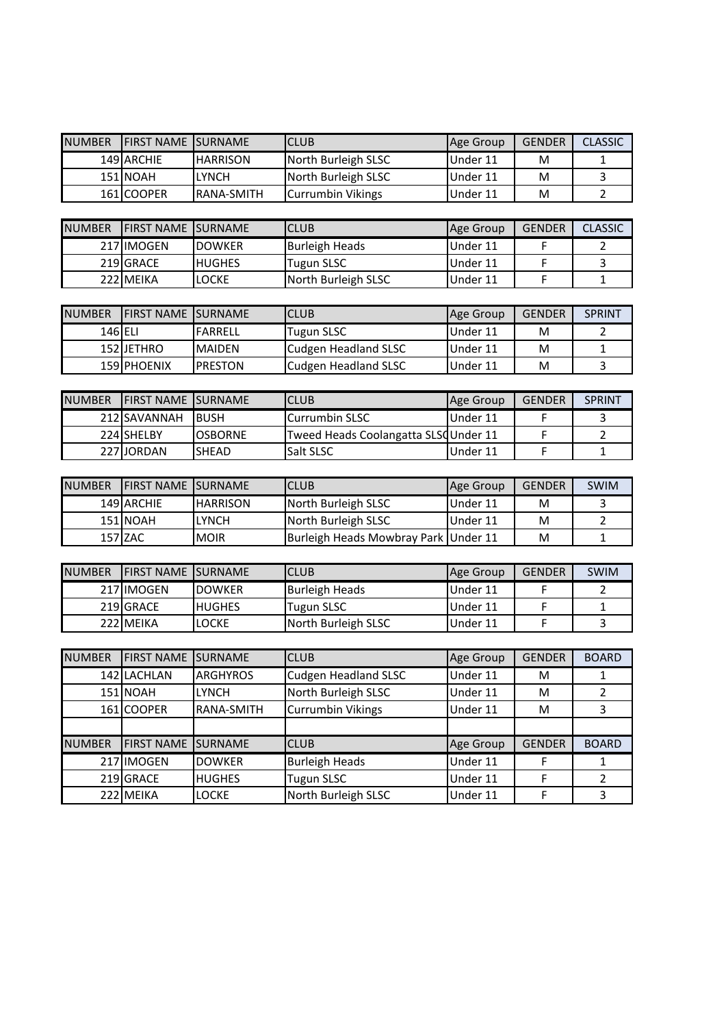| <b>NUMBER</b> | <b>FIRST NAME</b> | SURNAME         | <b>CLUB</b>                          | Age Group | <b>GENDER</b> | <b>CLASSIC</b> |  |  |  |
|---------------|-------------------|-----------------|--------------------------------------|-----------|---------------|----------------|--|--|--|
|               | 149 ARCHIE        | <b>HARRISON</b> | North Burleigh SLSC                  | Under 11  | M             | 1              |  |  |  |
|               | 151 NOAH          | <b>LYNCH</b>    | North Burleigh SLSC                  | Under 11  | M             | $\overline{3}$ |  |  |  |
|               | 161 COOPER        | RANA-SMITH      | <b>Currumbin Vikings</b>             | Under 11  | M             | $\overline{2}$ |  |  |  |
|               |                   |                 |                                      |           |               |                |  |  |  |
| <b>NUMBER</b> | <b>FIRST NAME</b> | <b>SURNAME</b>  | <b>CLUB</b>                          | Age Group | <b>GENDER</b> | <b>CLASSIC</b> |  |  |  |
|               | 217 IMOGEN        | <b>DOWKER</b>   | <b>Burleigh Heads</b>                | Under 11  | F             | $\overline{2}$ |  |  |  |
|               | 219 GRACE         | <b>HUGHES</b>   | <b>Tugun SLSC</b>                    | Under 11  | F             | 3              |  |  |  |
|               | 222 MEIKA         | <b>LOCKE</b>    | North Burleigh SLSC                  | Under 11  | F             | $\mathbf{1}$   |  |  |  |
|               |                   |                 |                                      |           |               |                |  |  |  |
| <b>NUMBER</b> | <b>FIRST NAME</b> | <b>SURNAME</b>  | <b>CLUB</b>                          | Age Group | <b>GENDER</b> | <b>SPRINT</b>  |  |  |  |
| $146$ ELI     |                   | <b>FARRELL</b>  | <b>Tugun SLSC</b>                    | Under 11  | M             | $\overline{2}$ |  |  |  |
|               | 152 JETHRO        | <b>MAIDEN</b>   | <b>Cudgen Headland SLSC</b>          | Under 11  | M             | $\mathbf{1}$   |  |  |  |
|               | 159 PHOENIX       | <b>PRESTON</b>  | <b>Cudgen Headland SLSC</b>          | Under 11  | M             | $\overline{3}$ |  |  |  |
|               |                   |                 |                                      |           |               |                |  |  |  |
| <b>NUMBER</b> | <b>FIRST NAME</b> | <b>SURNAME</b>  | <b>CLUB</b>                          | Age Group | <b>GENDER</b> | <b>SPRINT</b>  |  |  |  |
|               | 212 SAVANNAH      | <b>BUSH</b>     | Currumbin SLSC                       | Under 11  | F             | 3              |  |  |  |
|               | 224 SHELBY        | <b>OSBORNE</b>  | Tweed Heads Coolangatta SLSQUnder 11 |           | F             | $\overline{2}$ |  |  |  |
|               | 227JJORDAN        | SHEAD           | Salt SLSC                            | Under 11  | F             | $\mathbf{1}$   |  |  |  |
|               |                   |                 |                                      |           |               |                |  |  |  |
| <b>NUMBER</b> | <b>FIRST NAME</b> | <b>SURNAME</b>  | <b>CLUB</b>                          | Age Group | <b>GENDER</b> | SWIM           |  |  |  |
|               | 149 ARCHIE        | <b>HARRISON</b> | North Burleigh SLSC                  | Under 11  | M             | 3              |  |  |  |
|               | 151 NOAH          | <b>LYNCH</b>    | North Burleigh SLSC                  | Under 11  | M             | $\overline{2}$ |  |  |  |
|               | 157 ZAC           | <b>MOIR</b>     | <b>Burleigh Heads Mowbray Park</b>   | Under 11  | M             | $\mathbf{1}$   |  |  |  |
|               |                   |                 |                                      |           |               |                |  |  |  |
| <b>NUMBER</b> | <b>FIRST NAME</b> | <b>SURNAME</b>  | <b>CLUB</b>                          | Age Group | <b>GENDER</b> | SWIM           |  |  |  |
|               | 217 IMOGEN        | <b>DOWKER</b>   | <b>Burleigh Heads</b>                | Under 11  | F             | $\overline{2}$ |  |  |  |
|               | 219 GRACE         | <b>HUGHES</b>   | <b>Tugun SLSC</b>                    | Under 11  | F             | $\mathbf{1}$   |  |  |  |
|               | 222 MEIKA         | <b>LOCKE</b>    | North Burleigh SLSC                  | Under 11  | F             | 3              |  |  |  |
|               |                   |                 |                                      |           |               |                |  |  |  |
| <b>NUMBER</b> | <b>FIRST NAME</b> | <b>SURNAME</b>  | <b>CLUB</b>                          | Age Group | <b>GENDER</b> | <b>BOARD</b>   |  |  |  |
|               | 142 LACHLAN       | <b>ARGHYROS</b> | <b>Cudgen Headland SLSC</b>          | Under 11  | M             | $\mathbf{1}$   |  |  |  |

|               | 142 LACHLAN               | <b>ARGHYROS</b>   | <b>Cudgen Headland SLSC</b> | Under 11  | м             |              |
|---------------|---------------------------|-------------------|-----------------------------|-----------|---------------|--------------|
|               | 151 NOAH                  | <b>LYNCH</b>      | North Burleigh SLSC         | Under 11  | м             |              |
|               | 161 COOPER                | <b>RANA-SMITH</b> | <b>Currumbin Vikings</b>    | Under 11  | м             |              |
|               |                           |                   |                             |           |               |              |
| <b>NUMBER</b> | <b>FIRST NAME SURNAME</b> |                   | <b>CLUB</b>                 | Age Group | <b>GENDER</b> | <b>BOARD</b> |
|               | 217 IMOGEN                | <b>DOWKER</b>     | <b>Burleigh Heads</b>       | Under 11  |               |              |
|               | 219 GRACE                 | <b>HUGHES</b>     | <b>Tugun SLSC</b>           | Under 11  |               |              |
|               | 222 MEIKA                 | <b>LOCKE</b>      | North Burleigh SLSC         | Under 11  |               |              |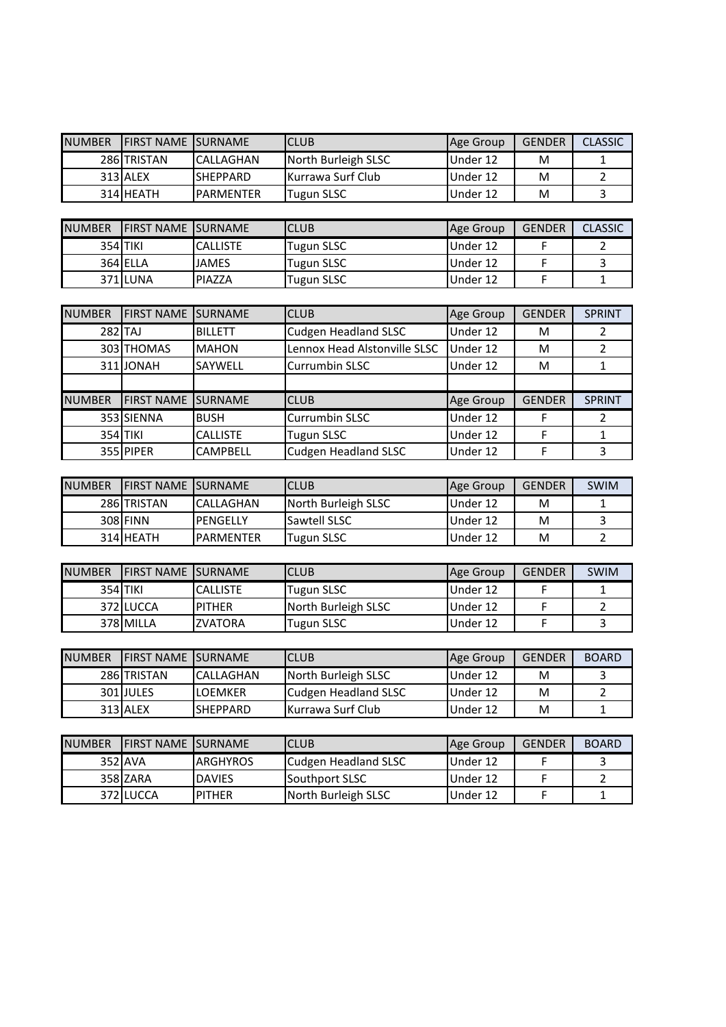| <b>NUMBER</b> | <b>IFIRST NAME ISURNAME</b> |                   | ICLUB                     | Age Group | <b>GENDER</b> | <b>CLASSIC</b> |
|---------------|-----------------------------|-------------------|---------------------------|-----------|---------------|----------------|
|               | 286 TRISTAN                 | <b>CALLAGHAN</b>  | North Burleigh SLSC       | IUnder 12 | м             |                |
|               | 313 ALEX                    | <b>ISHEPPARD</b>  | <b>IKurrawa Surf Club</b> | Under 12  | м             |                |
|               | 314 HEATH                   | <b>IPARMENTER</b> | Tugun SLSC                | Under 12  | M             |                |

| <b>NUMBER</b> | <b>IFIRST NAME ISURNAME</b> |              | <b>CLUB</b> | Age Group | <b>GENDER</b> | <b>CLASSIC</b> |
|---------------|-----------------------------|--------------|-------------|-----------|---------------|----------------|
|               | 354 TIKI                    | ICALLISTE    | Tugun SLSC  | IUnder 12 |               |                |
|               | 364 ELLA                    | <b>JAMES</b> | Tugun SLSC  | Under 12  |               |                |
|               | 371 LUNA                    | PIAZZA       | Tugun SLSC  | Under 12  |               |                |

| <b>NUMBER</b> | <b>FIRST NAME SURNAME</b> |                 | <b>CLUB</b>                  | Age Group | <b>GENDER</b> | <b>SPRINT</b> |
|---------------|---------------------------|-----------------|------------------------------|-----------|---------------|---------------|
| 282 TAJ       |                           | <b>BILLETT</b>  | <b>Cudgen Headland SLSC</b>  | Under 12  | м             |               |
|               | 303 THOMAS                | <b>MAHON</b>    | Lennox Head Alstonville SLSC | Under 12  | м             |               |
|               | 311JONAH                  | <b>SAYWELL</b>  | Currumbin SLSC               | Under 12  | м             |               |
|               |                           |                 |                              |           |               |               |
| <b>NUMBER</b> | <b>FIRST NAME</b>         | <b>ISURNAME</b> | <b>CLUB</b>                  | Age Group | <b>GENDER</b> | SPRINT        |
|               | 353 SIENNA                | <b>BUSH</b>     | <b>Currumbin SLSC</b>        | Under 12  |               |               |
| 354 TIKI      |                           | <b>CALLISTE</b> | <b>Tugun SLSC</b>            | Under 12  |               |               |
|               | 355 PIPER                 | <b>CAMPBELL</b> | <b>Cudgen Headland SLSC</b>  | Under 12  |               |               |

| <b>NUMBER</b> | <b>IFIRST NAME ISURNAME</b> |                  | ICLUB               | Age Group | <b>GENDER</b> | SWIM |
|---------------|-----------------------------|------------------|---------------------|-----------|---------------|------|
|               | 286 TRISTAN                 | <b>CALLAGHAN</b> | North Burleigh SLSC | Under 12  | M             |      |
|               | 308 FINN                    | IPENGELLY        | <b>Sawtell SLSC</b> | Under 12  | M             |      |
|               | 314 HEATH                   | <b>PARMENTER</b> | Tugun SLSC          | Under 12  | M             |      |

| <b>NUMBER</b> | <b>IFIRST NAME ISURNAME</b> |                 | ICLUB               | Age Group | <b>GENDER</b> | <b>SWIM</b> |
|---------------|-----------------------------|-----------------|---------------------|-----------|---------------|-------------|
|               | 354 TIKI                    | <b>CALLISTE</b> | Tugun SLSC          | Under 12  |               |             |
|               | 372 LUCCA                   | <b>IPITHER</b>  | North Burleigh SLSC | Under 12  |               |             |
|               | 378 MILLA                   | <b>ZVATORA</b>  | Tugun SLSC          | Under 12  |               |             |

| <b>NUMBER</b> | <b>IFIRST NAME ISURNAME</b> |                  | ICLUB                | <b>Age Group</b> | <b>GENDER</b> | <b>BOARD</b> |
|---------------|-----------------------------|------------------|----------------------|------------------|---------------|--------------|
|               | 286 TRISTAN                 | <b>CALLAGHAN</b> | North Burleigh SLSC  | Under 12         | м             |              |
|               | 301 JULES                   | <b>ILOEMKER</b>  | Cudgen Headland SLSC | Under 12         | м             |              |
|               | 313 ALEX                    | <b>ISHEPPARD</b> | IKurrawa Surf Club   | Under 12         | м             |              |

| <b>NUMBER</b> | <b>IFIRST NAME ISURNAME</b> |                  | ICLUB                 | Age Group | <b>GENDER</b> | <b>BOARD</b> |
|---------------|-----------------------------|------------------|-----------------------|-----------|---------------|--------------|
|               | 352 AVA                     | <b>IARGHYROS</b> | Cudgen Headland SLSC  | Under 12  |               |              |
|               | 358 ZARA                    | <b>DAVIES</b>    | <b>Southport SLSC</b> | Under 12  |               |              |
|               | 372 ILUCCA                  | <b>IPITHER</b>   | North Burleigh SLSC   | Under 12  |               |              |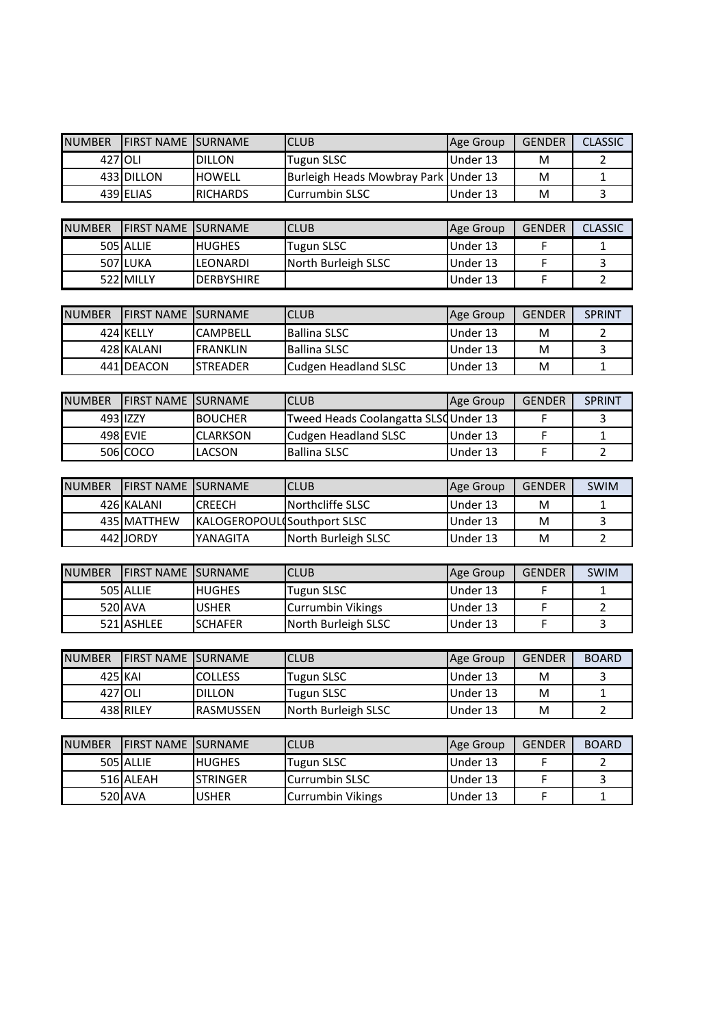| <b>NUMBER</b> | <b>FIRST NAME</b>         | <b>SURNAME</b>              | <b>CLUB</b>                           | Age Group | <b>GENDER</b> | <b>CLASSIC</b>          |
|---------------|---------------------------|-----------------------------|---------------------------------------|-----------|---------------|-------------------------|
| 427           | <b>OLI</b>                | <b>DILLON</b>               | Tugun SLSC                            | Under 13  | M             | 2                       |
|               | 433 DILLON                | <b>HOWELL</b>               | <b>Burleigh Heads Mowbray Park</b>    | Under 13  | M             | $\mathbf 1$             |
|               | 439 ELIAS                 | <b>RICHARDS</b>             | Currumbin SLSC                        | Under 13  | M             | 3                       |
|               |                           |                             |                                       |           |               |                         |
| <b>NUMBER</b> | FIRST NAME SURNAME        |                             | <b>CLUB</b>                           | Age Group | <b>GENDER</b> | <b>CLASSIC</b>          |
|               | 505 ALLIE                 | <b>HUGHES</b>               | <b>Tugun SLSC</b>                     | Under 13  | F             | 1                       |
|               | <b>507 LUKA</b>           | LEONARDI                    | North Burleigh SLSC                   | Under 13  | F             | 3                       |
|               | 522 MILLY                 | <b>DERBYSHIRE</b>           |                                       | Under 13  | F             | $\overline{2}$          |
|               |                           |                             |                                       |           |               |                         |
| <b>NUMBER</b> | FIRST NAME SURNAME        |                             | <b>CLUB</b>                           | Age Group | <b>GENDER</b> | <b>SPRINT</b>           |
|               | 424 KELLY                 | <b>CAMPBELL</b>             | <b>Ballina SLSC</b>                   | Under 13  | M             | 2                       |
|               | 428 KALANI                | <b>FRANKLIN</b>             | <b>Ballina SLSC</b>                   | Under 13  | M             | 3                       |
|               | 441 DEACON                | <b>STREADER</b>             | Cudgen Headland SLSC                  | Under 13  | M             | $\mathbf{1}$            |
|               |                           |                             |                                       |           |               |                         |
| <b>NUMBER</b> | <b>FIRST NAME</b>         | <b>SURNAME</b>              | <b>CLUB</b>                           | Age Group | <b>GENDER</b> | <b>SPRINT</b>           |
|               | 493 IZZY                  | <b>BOUCHER</b>              | Tweed Heads Coolangatta SLSQ Under 13 |           | F             | 3                       |
|               | 498 EVIE                  | <b>CLARKSON</b>             | <b>Cudgen Headland SLSC</b>           | Under 13  | F             | $\mathbf{1}$            |
|               | 506 COCO                  | LACSON                      | <b>Ballina SLSC</b>                   | Under 13  | F             | $\overline{2}$          |
|               |                           |                             |                                       |           |               |                         |
| <b>NUMBER</b> | FIRST NAME SURNAME        |                             | <b>CLUB</b>                           | Age Group | <b>GENDER</b> | <b>SWIM</b>             |
|               | 426 KALANI                | <b>CREECH</b>               | Northcliffe SLSC                      | Under 13  | M             | $\mathbf 1$             |
|               | 435 MATTHEW               | KALOGEROPOUL Southport SLSC |                                       | Under 13  | M             | $\overline{\mathbf{3}}$ |
|               | 442 JORDY                 | YANAGITA                    | North Burleigh SLSC                   | Under 13  | M             | $\overline{2}$          |
|               |                           |                             |                                       |           |               |                         |
| <b>NUMBER</b> | <b>FIRST NAME SURNAME</b> |                             | <b>CLUB</b>                           | Age Group | <b>GENDER</b> | SWIM                    |
|               | 505 ALLIE                 | <b>HUGHES</b>               | <b>Tugun SLSC</b>                     | Under 13  | F             | 1                       |
|               | 520 AVA                   | <b>USHER</b>                | Currumbin Vikings                     | Under 13  | F             | $\overline{2}$          |
|               | 521 ASHLEE                | <b>SCHAFER</b>              | North Burleigh SLSC                   | Under 13  | $\mathsf{F}$  | $\overline{\mathbf{3}}$ |
|               |                           |                             |                                       |           |               |                         |
| <b>NUMBER</b> | <b>FIRST NAME SURNAME</b> |                             | <b>CLUB</b>                           | Age Group | <b>GENDER</b> | <b>BOARD</b>            |
| 425 KAI       |                           | <b>COLLESS</b>              | <b>Tugun SLSC</b>                     | Under 13  | M             | 3                       |
| 427 OLI       |                           | <b>DILLON</b>               | <b>Tugun SLSC</b>                     | Under 13  | M             | $\mathbf{1}$            |
|               | 438 RILEY                 | RASMUSSEN                   | North Burleigh SLSC                   | Under 13  | M             | $\overline{2}$          |
|               |                           |                             |                                       |           |               |                         |
| <b>NUMBER</b> | <b>FIRST NAME SURNAME</b> |                             | <b>CLUB</b>                           | Age Group | <b>GENDER</b> | <b>BOARD</b>            |
|               | <b>505 ALLE</b>           | HUGHES                      | Tugun SLSC                            | Hnder 12  | E             | າ                       |

| <b>NUMBER</b> | <b>IFIRST NAME ISURNAME</b> |               | <b>CLUB</b>             | Age Group | GENDER | <b>BOARD</b> |
|---------------|-----------------------------|---------------|-------------------------|-----------|--------|--------------|
|               | 505 ALLIE                   | <b>HUGHES</b> | <b>Tugun SLSC</b>       | Under 13  |        |              |
|               | 516 ALEAH                   | ISTRINGER     | <b>I</b> Currumbin SLSC | Under 13  |        |              |
|               | 520 AVA                     | <b>USHER</b>  | Currumbin Vikings       | Under 13  |        |              |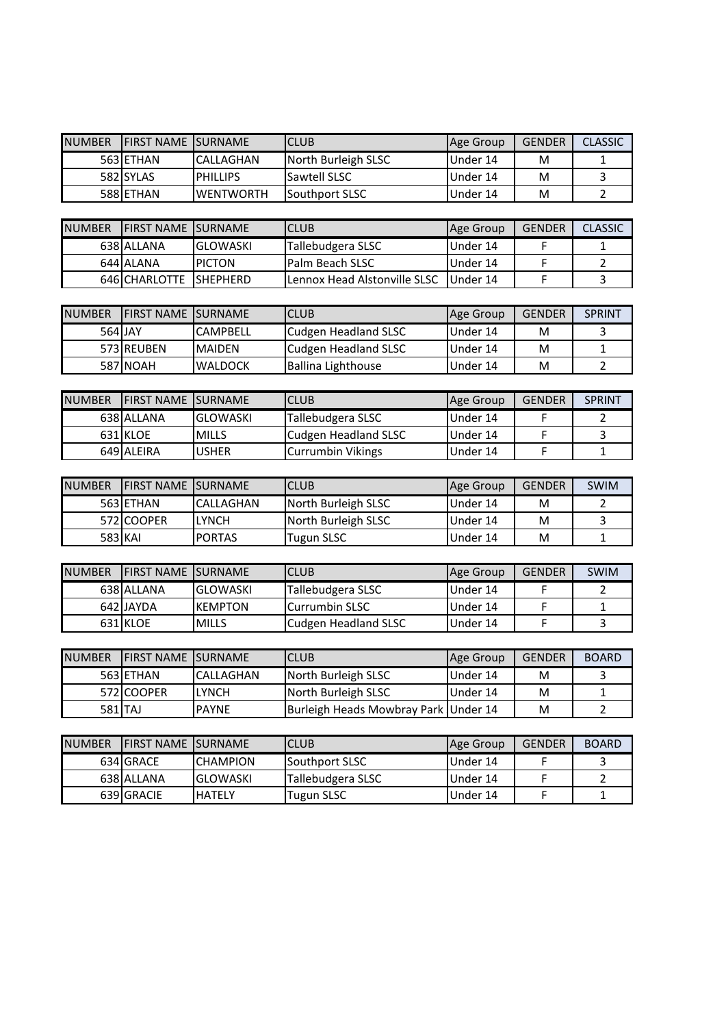| <b>NUMBER</b> | <b>IFIRST NAME ISURNAME</b> |                  | ICLUB                  | Age Group | <b>GENDER</b> | <b>CLASSIC</b> |
|---------------|-----------------------------|------------------|------------------------|-----------|---------------|----------------|
|               | 563 ETHAN                   | <b>CALLAGHAN</b> | North Burleigh SLSC    | IUnder 14 | M             |                |
|               | 582 SYLAS                   | <b>PHILLIPS</b>  | <b>Sawtell SLSC</b>    | IUnder 14 | M             |                |
|               | 588 ETHAN                   | <b>WENTWORTH</b> | <b>ISouthport SLSC</b> | Under 14  | M             |                |

| <b>NUMBER</b> | <b>IFIRST NAME ISURNAME</b> |                | <b>CLUB</b>                             | Age Group | <b>GENDER</b> | <b>CLASSIC</b> |
|---------------|-----------------------------|----------------|-----------------------------------------|-----------|---------------|----------------|
|               | 638 ALLANA                  | IGLOWASKI      | Tallebudgera SLSC                       | Under 14  |               |                |
|               | 644 ALANA                   | <b>IPICTON</b> | <b>IPalm Beach SLSC</b>                 | Under 14  |               |                |
|               | 646 CHARLOTTE ISHEPHERD     |                | ILennox Head Alstonville SLSC IUnder 14 |           |               |                |

| <b>NUMBER</b> | <b>IFIRST NAME ISURNAME</b> |                 | <b>CLUB</b>          | Age Group | <b>GENDER</b> | <b>SPRINT</b> |
|---------------|-----------------------------|-----------------|----------------------|-----------|---------------|---------------|
| 564 JAY       |                             | <b>CAMPBELL</b> | Cudgen Headland SLSC | Under 14  | м             |               |
|               | 573 REUBEN                  | <b>MAIDEN</b>   | Cudgen Headland SLSC | Under 14  | м             |               |
|               | 587 NOAH                    | <b>WALDOCK</b>  | Ballina Lighthouse   | Under 14  | M             |               |

| <b>NUMBER</b> | <b>IFIRST NAME ISURNAME</b> |                 | <b>CLUB</b>                | Age Group | <b>GENDER</b> | <b>SPRINT</b> |
|---------------|-----------------------------|-----------------|----------------------------|-----------|---------------|---------------|
|               | 638 ALLANA                  | <b>GLOWASKI</b> | Tallebudgera SLSC          | Under 14  |               |               |
|               | 631 KLOE                    | <b>MILLS</b>    | Cudgen Headland SLSC       | Under 14  |               |               |
|               | 649 ALEIRA                  | <b>USHER</b>    | <b>I</b> Currumbin Vikings | IUnder 14 |               |               |

| <b>NUMBER</b> | <b>IFIRST NAME ISURNAME</b> |                  | <b>CLUB</b>         | Age Group | <b>GENDER</b> | SWIM |
|---------------|-----------------------------|------------------|---------------------|-----------|---------------|------|
|               | 563 ETHAN                   | <b>CALLAGHAN</b> | North Burleigh SLSC | Under 14  | M             |      |
|               | 572 COOPER                  | <b>LYNCH</b>     | North Burleigh SLSC | Under 14  | M             |      |
| 583 KAI       |                             | IPORTAS          | Tugun SLSC          | Under 14  | M             |      |

| <b>NUMBER</b> | <b>IFIRST NAME ISURNAME</b> |                 | ICLUB                 | Age Group | <b>GENDER</b> | SWIM |
|---------------|-----------------------------|-----------------|-----------------------|-----------|---------------|------|
|               | 638 ALLANA                  | <b>GLOWASKI</b> | Tallebudgera SLSC     | Under 14  |               |      |
|               | 642 JAYDA                   | <b>IKEMPTON</b> | <b>Currumbin SLSC</b> | Under 14  |               |      |
|               | 631 KLOE                    | <b>MILLS</b>    | Cudgen Headland SLSC  | IUnder 14 |               |      |

| <b>NUMBER</b> | IFIRST NAME ISURNAME |              | ICLUB                                | Age Group | <b>GENDER</b> | <b>BOARD</b> |
|---------------|----------------------|--------------|--------------------------------------|-----------|---------------|--------------|
|               | 563 ETHAN            | CALLAGHAN    | North Burleigh SLSC                  | Under 14  | м             |              |
|               | 572ICOOPER           | LYNCH        | North Burleigh SLSC                  | Under 14  | м             |              |
| 581 TAJ       |                      | <b>PAYNE</b> | Burleigh Heads Mowbray Park Under 14 |           | M             |              |

| <b>NUMBER</b> | <b>IFIRST NAME ISURNAME</b> |                  | ICLUB                    | Age Group | <b>GENDER</b> | <b>BOARD</b> |
|---------------|-----------------------------|------------------|--------------------------|-----------|---------------|--------------|
|               | 634 GRACE                   | <b>ICHAMPION</b> | <b>ISouthport SLSC</b>   | Under 14  |               |              |
|               | 638 ALLANA                  | <b>IGLOWASKI</b> | <b>Tallebudgera SLSC</b> | Under 14  |               |              |
|               | 639 GRACIE                  | IHATELY          | Tugun SLSC               | Under 14  |               |              |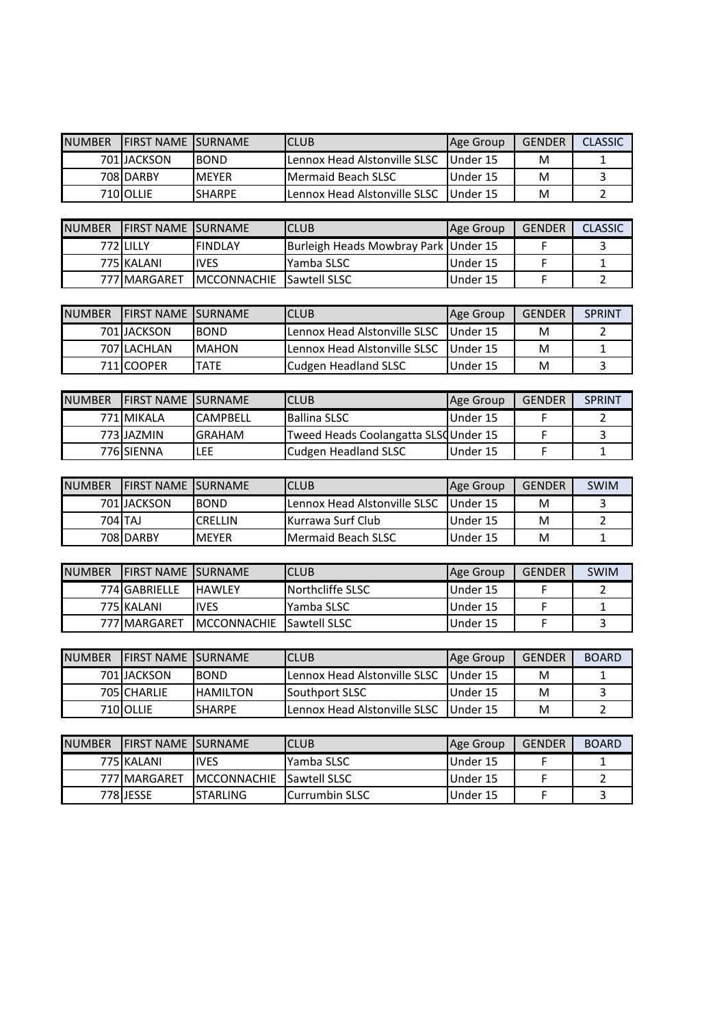| <b>NUMBER</b> | <b>IFIRST NAME ISURNAME</b> |               | ICLUB                                | Age Group | <b>GENDER</b> | <b>CLASSIC</b> |
|---------------|-----------------------------|---------------|--------------------------------------|-----------|---------------|----------------|
|               | 701IJACKSON                 | <b>BOND</b>   | <b>ILennox Head Alstonville SLSC</b> | IUnder 15 | м             |                |
|               | 708 DARBY                   | <b>IMFYFR</b> | <b>IMermaid Beach SLSC</b>           | Under 15  | M             |                |
|               | 710 OLLIE                   | <b>SHARPE</b> | <b>ILennox Head Alstonville SLSC</b> | Under 15  | M             |                |

| <b>NUMBER</b> | <b>IFIRST NAME ISURNAME</b> |              | <b>CLUB</b>                           | Age Group | GENDER | <b>CLASSIC</b> |
|---------------|-----------------------------|--------------|---------------------------------------|-----------|--------|----------------|
|               | 772 LILLY                   | IFINDLAY     | Burleigh Heads Mowbray Park JUnder 15 |           |        |                |
|               | 775 KALANI                  | <b>IVES</b>  | Yamba SLSC                            | Under 15  |        |                |
|               | 777 MARGARET                | IMCCONNACHIE | <b>Sawtell SLSC</b>                   | Under 15  |        |                |

| <b>NUMBER</b> | <b>IFIRST NAME ISURNAME</b> |               | ICLUB                        | Age Group | <b>GENDER</b> | <b>SPRINT</b> |
|---------------|-----------------------------|---------------|------------------------------|-----------|---------------|---------------|
|               | 701 IJACKSON                | <b>BOND</b>   | Lennox Head Alstonville SLSC | IUnder 15 | м             |               |
|               | 707 LACHLAN                 | <b>IMAHON</b> | Lennox Head Alstonville SLSC | Under 15  | M             |               |
|               | 711ICOOPER                  | TATE          | Cudgen Headland SLSC         | Under 15  | м             |               |

| <b>NUMBER</b> | <b>IFIRST NAME ISURNAME</b> |                 | <b>CLUB</b>                          | Age Group | <b>GENDER</b> | <b>SPRINT</b> |
|---------------|-----------------------------|-----------------|--------------------------------------|-----------|---------------|---------------|
|               | 771 MIKALA                  | <b>CAMPBELL</b> | Ballina SLSC                         | Under 15  |               |               |
|               | 773 JAZMIN                  | <b>IGRAHAM</b>  | Tweed Heads Coolangatta SLSQUnder 15 |           |               |               |
|               | 776 SIENNA                  | LEE             | Cudgen Headland SLSC                 | Under 15  |               |               |

| <b>NUMBER</b> | <b>IFIRST NAME ISURNAME</b> |                | ICLUB                                 | Age Group | <b>GENDER</b> | <b>SWIM</b> |
|---------------|-----------------------------|----------------|---------------------------------------|-----------|---------------|-------------|
|               | 701 JACKSON                 | <b>BOND</b>    | <b>I</b> Lennox Head Alstonville SLSC | Under 15  | M             |             |
|               | 704 TAJ                     | <b>CRELLIN</b> | IKurrawa Surf Club                    | Under 15  | M             |             |
|               | 708 DARBY                   | IMEYER         | <b>IMermaid Beach SLSC</b>            | Under 15  | M             |             |

| <b>NUMBER</b> | <b>IFIRST NAME ISURNAME</b> |                     | <b>ICLUB</b>            | Age Group | <b>GENDER</b> | <b>SWIM</b> |
|---------------|-----------------------------|---------------------|-------------------------|-----------|---------------|-------------|
|               | 774 GABRIELLE               | <b>IHAWLEY</b>      | <b>Northcliffe SLSC</b> | Under 15  |               |             |
|               | 775 KALANI                  | <b>IVES</b>         | lYamba SLSC             | Under 15  |               |             |
|               | 777 MARGARET                | <b>IMCCONNACHIE</b> | <b>Sawtell SLSC</b>     | Under 15  |               |             |

| <b>NUMBER</b> | IFIRST NAME ISURNAME |                 | ICLUB                                | Age Group  | <b>GFNDFR</b> | <b>BOARD</b> |
|---------------|----------------------|-----------------|--------------------------------------|------------|---------------|--------------|
|               | 701IJACKSON          | <b>BOND</b>     | <b>ILennox Head Alstonville SLSC</b> | Illnder 15 | м             |              |
|               | 705 CHARLIE          | <b>HAMILTON</b> | <b>ISouthport SLSC</b>               | Under 15   | м             |              |
|               | 710 OLLIE            | <b>SHARPE</b>   | <b>ILennox Head Alstonville SLSC</b> | Under 15   | м             |              |

| <b>NUMBER</b> | <b>IFIRST NAME ISURNAME</b> |                     | ICLUB                  | <b>Age Group</b> | <b>GENDER</b> | <b>BOARD</b> |
|---------------|-----------------------------|---------------------|------------------------|------------------|---------------|--------------|
|               | 775 KALANI                  | <b>IVES</b>         | IYamba SLSC            | Under 15         |               |              |
|               | 777 MARGARET                | <b>IMCCONNACHIE</b> | <b>Sawtell SLSC</b>    | Under 15         |               |              |
|               | 778 JESSE                   | <b>ISTARLING</b>    | <b>ICurrumbin SLSC</b> | Under 15         |               |              |